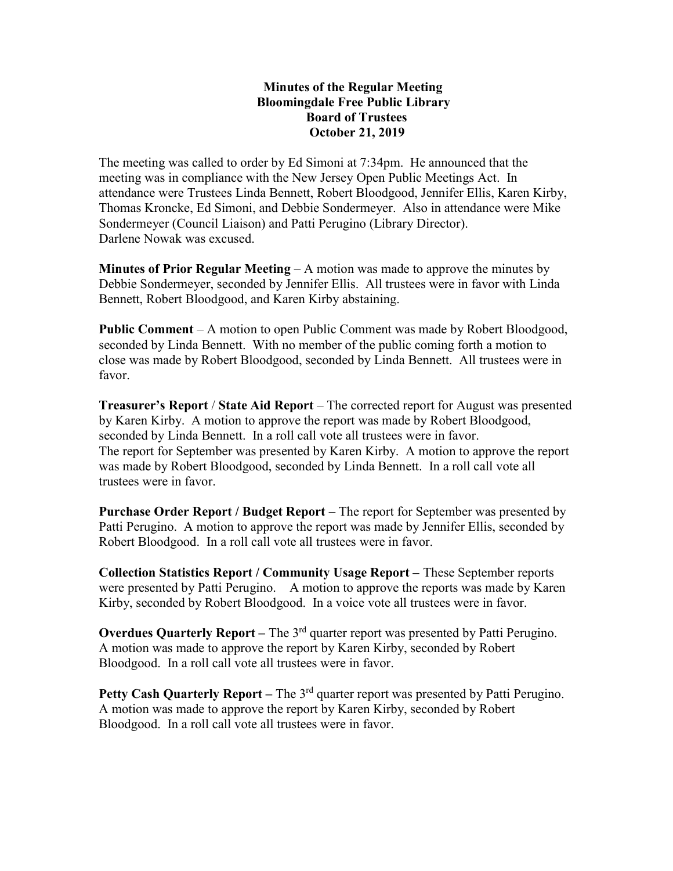## Minutes of the Regular Meeting Bloomingdale Free Public Library Board of Trustees October 21, 2019

The meeting was called to order by Ed Simoni at 7:34pm. He announced that the meeting was in compliance with the New Jersey Open Public Meetings Act. In attendance were Trustees Linda Bennett, Robert Bloodgood, Jennifer Ellis, Karen Kirby, Thomas Kroncke, Ed Simoni, and Debbie Sondermeyer. Also in attendance were Mike Sondermeyer (Council Liaison) and Patti Perugino (Library Director). Darlene Nowak was excused.

**Minutes of Prior Regular Meeting – A motion was made to approve the minutes by** Debbie Sondermeyer, seconded by Jennifer Ellis. All trustees were in favor with Linda Bennett, Robert Bloodgood, and Karen Kirby abstaining.

Public Comment – A motion to open Public Comment was made by Robert Bloodgood, seconded by Linda Bennett. With no member of the public coming forth a motion to close was made by Robert Bloodgood, seconded by Linda Bennett. All trustees were in favor.

Treasurer's Report / State Aid Report – The corrected report for August was presented by Karen Kirby. A motion to approve the report was made by Robert Bloodgood, seconded by Linda Bennett. In a roll call vote all trustees were in favor. The report for September was presented by Karen Kirby. A motion to approve the report was made by Robert Bloodgood, seconded by Linda Bennett. In a roll call vote all trustees were in favor.

Purchase Order Report / Budget Report – The report for September was presented by Patti Perugino. A motion to approve the report was made by Jennifer Ellis, seconded by Robert Bloodgood. In a roll call vote all trustees were in favor.

Collection Statistics Report / Community Usage Report – These September reports were presented by Patti Perugino. A motion to approve the reports was made by Karen Kirby, seconded by Robert Bloodgood. In a voice vote all trustees were in favor.

Overdues Quarterly Report – The  $3<sup>rd</sup>$  quarter report was presented by Patti Perugino. A motion was made to approve the report by Karen Kirby, seconded by Robert Bloodgood. In a roll call vote all trustees were in favor.

Petty Cash Quarterly Report – The  $3<sup>rd</sup>$  quarter report was presented by Patti Perugino. A motion was made to approve the report by Karen Kirby, seconded by Robert Bloodgood. In a roll call vote all trustees were in favor.